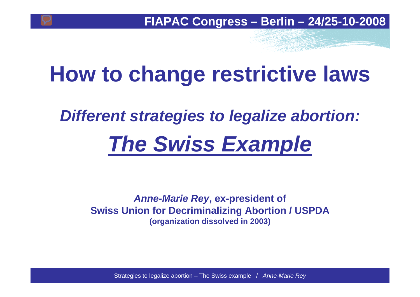# **How to change restrictive laws**

# *Different strategies to legalize abortion: The Swiss Example*

*Anne-Marie Rey***, ex-president of Swiss Union for Decriminalizing Abortion / USPDA (organization dissolved in 2003)**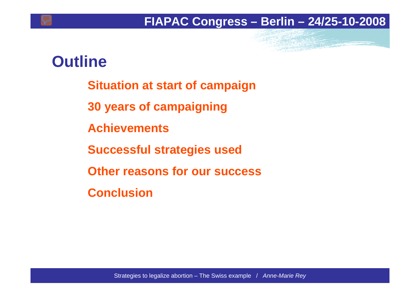### **Outline**

- **Situation at start of campaign**
- **30 years of campaigning**
- **Achievements**
- **Successful strategies used**
- **Other reasons for our success**
- **Conclusion**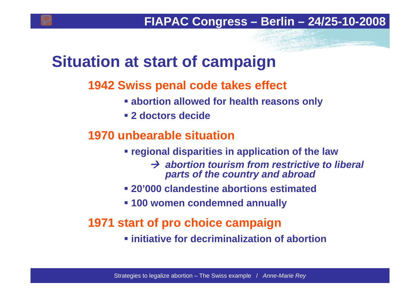### **Situation at start of campaign**

### **1942 Swiss penal code takes effect**

- **abortion allowed for health reasons only**
- **2 doctors decide**

### **1970 unbearable situation**

**regional disparities in application of the law**

 $→$  **abortion tourism from restrictive to liberal** *parts of the country and abroad*

- **20'000 clandestine abortions estimated**
- **100 women condemned annually**

### **1971 start of pro choice campaign**

**initiative for decriminalization of abortion**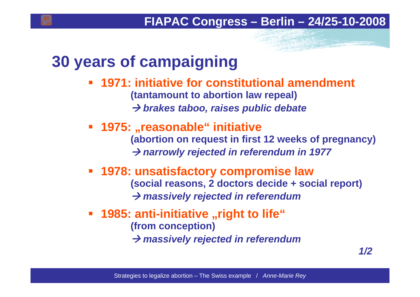### **30 years of campaigning**

- **1971: initiative for constitutional amendment (tantamount to abortion law repeal)** Æ *brakes taboo, raises public debate*
- **1975: "reasonable" initiative (abortion on request in first 12 weeks of pregnancy)** Æ *narrowly rejected in referendum in 1977*
- **1978: unsatisfactory compromise law (social reasons, 2 doctors decide + social report)**  Æ *massively rejected in referendum*
- **1985: anti-initiative "right to life" (from conception)**  $\rightarrow$  massively rejected in referendum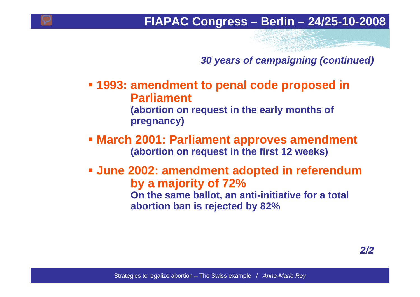*30 years of campaigning (continued)*

- **1993: amendment to penal code proposed in Parliament (abortion on request in the early months of pregnancy)**
- **March 2001: Parliament approves amendment (abortion on request in the first 12 weeks)**
- **June 2002: amendment adopted in referendum by a majority of 72% On the same ballot, an anti-initiative for a total abortion ban is rejected by 82%**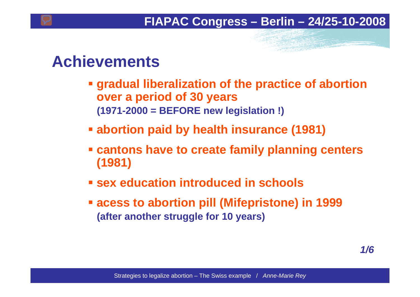### **Achievements**

- **gradual liberalization of the practice of abortion over <sup>a</sup> period of 30 years (1971-2000 = BEFORE new legislation !)**
- **abortion paid by health insurance (1981)**
- **cantons have to create family planning centers (1981)**
- **sex education introduced in schools**
- **acess to abortion pill (Mifepristone) in 1999 (after another struggle for 10 years)**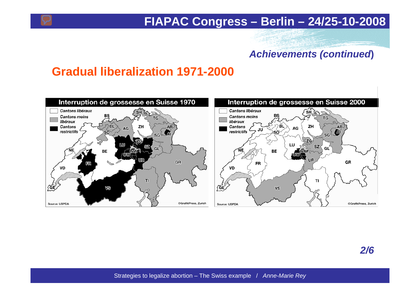#### *Achievements (continued***)**

### **Gradual liberalization 1971-2000**

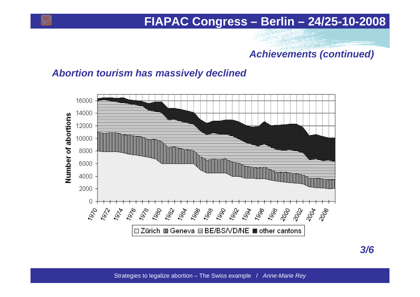#### *Achievements (continued)*

#### *Abortion tourism has massively declined*

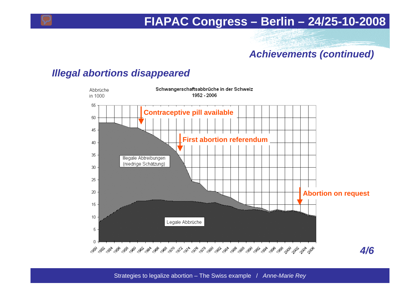### *Achievements (continued)*

#### *Illegal abortions disappeared*

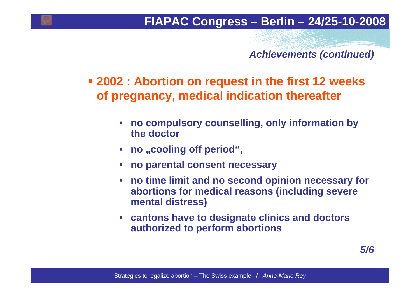*Achievements (continued)*

 **2002 : Abortion on request in the first 12 weeks of pregnancy, medical indication thereafter**

- **no compulsory counselling, only information by the doctor**
- no "cooling off period",
- **no parental consent necessary**
- **no time limit and no second opinion necessary for abortions for medical reasons (including severe mental distress)**
- **cantons have to designate clinics and doctors authorized to perform abortions**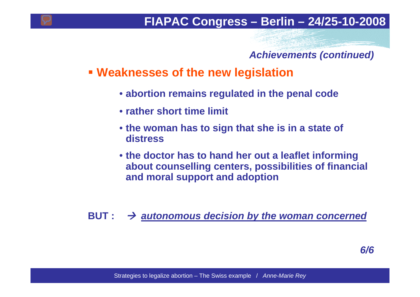#### *Achievements (continued)*

### **Weaknesses of the new legislation**

- **abortion remains regulated in the penal code**
- **rather short time limit**
- **the woman has to sign that she is in a state of distress**
- **the doctor has to hand her out a leaflet informing about counselling centers, possibilities of financial and moral support and adoption**

**BUT :**  $\rightarrow$  autonomous decision by the woman concerned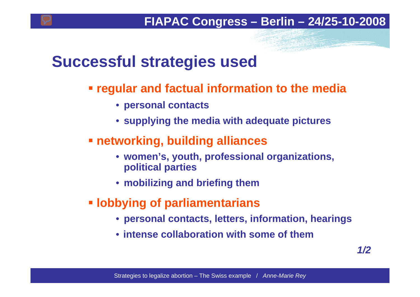### **Successful strategies used**

- **regular and factual information to the media**
	- **personal contacts**
	- **supplying the media with adequate pictures**
- **networking, building alliances**
	- **women's, youth, professional organizations, political parties**
	- **mobilizing and briefing them**
- **lobbying of parliamentarians**
	- **personal contacts, letters, information, hearings**
	- **intense collaboration with some of them**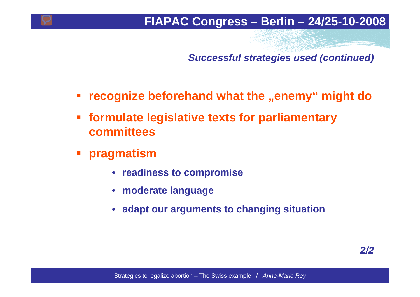*Successful strategies used (continued)*

- T. **recognize beforehand what the "enemy" might do**
- $\mathcal{L}_{\mathcal{A}}$  **formulate legislative texts for parliamentary committees**
- p. **pragmatism**
	- **readiness to compromise**
	- **moderate language**
	- **adapt our arguments to changing situation**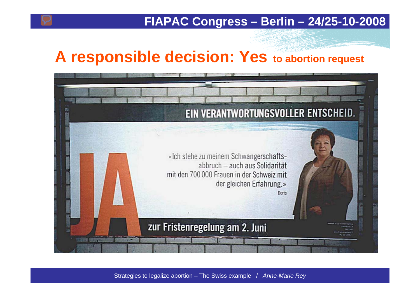### **A responsible decision: Yes to abortion request**

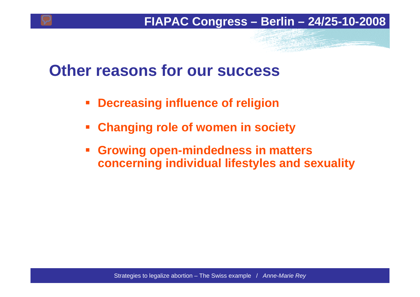### **Other reasons for our success**

- $\mathbb{R}^2$ **Decreasing influence of religion**
- $\overline{\mathbb{R}^2}$ **Changing role of women in society**
- **Growing open-mindedness in matters concerning individual lifestyles and sexuality**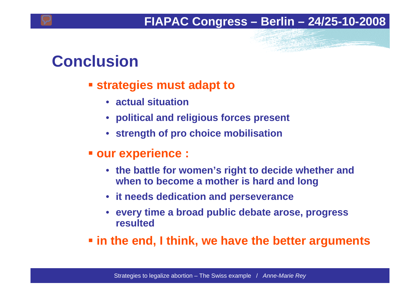## **Conclusion**

### **strategies must adapt to**

- **actual situation**
- **political and religious forces present**
- **strength of pro choice mobilisation**
- **our experience :**
	- **the battle for women's right to decide whether and when to become a mother is hard and long**
	- **it needs dedication and perseverance**
	- **every time a broad public debate arose, progress resulted**
- **in the end, I think, we have the better arguments**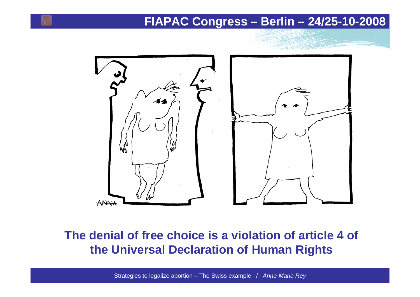

### **The denial of free choice is a violation of article 4 of the Universal Declaration of Human Rights**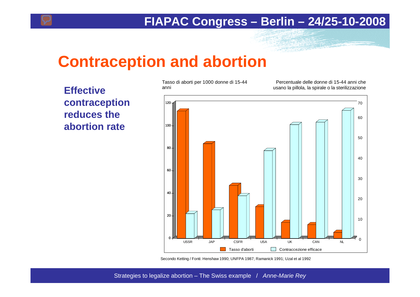### **Contraception and abortion**

**Effective contraception reduces the abortion rate**

Tasso di aborti per 1000 donne di 15-44 anni

Percentuale delle donne di 15-44 anni che usano la pillola, la spirale o la sterilizzazione



Secondo Ketting / Fonti: Henshaw 1990; UNFPA 1987; Ramanick 1991; Uzal et al 1992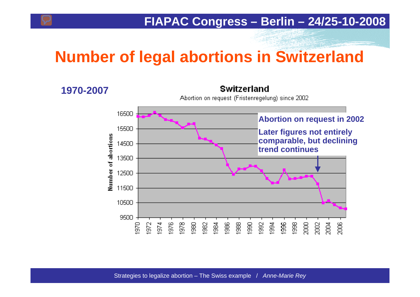# **Number of legal abortions in Switzerland**

#### **1970-2007**

#### Switzerland

Abortion on request (Fristenregelung) since 2002

![](_page_18_Figure_5.jpeg)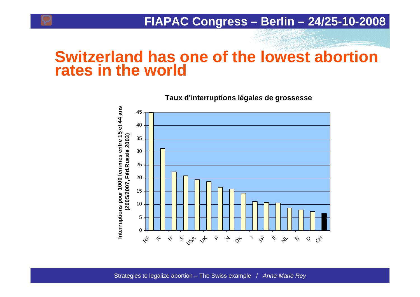### **Switzerland has one of the lowest abortion rates in the world**

![](_page_19_Figure_2.jpeg)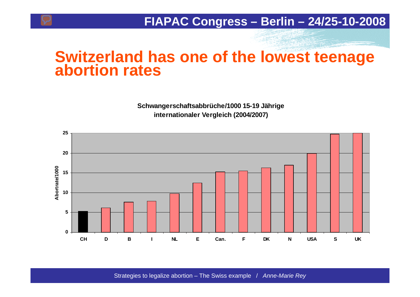# **Switzerland has one of the lowest teenage abortion rates**

**Schwangerschaftsabbrüche/1000 15-19 Jährige internationaler Vergleich (2004/2007)**

![](_page_20_Figure_3.jpeg)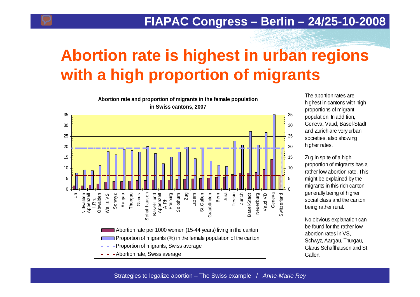# **Abortion rate is highest in urban regions with a high proportion of migrants**

**Abortion rate and proportion of migrants in the female population in Swiss cantons, 2007** 353530302525202015 10105 0Thurgau Vaud VD Nidwalden<br>Appenzell T.Rh.<br>Obwalden Schwyz Aargau Glarus Basel-Land<br>Appenzell Freiburg Bern Jura Tessin Zürich Geneva Schaffhausen Schaffhausen Zug Luzern  $\bar{5}$ Nidwalden Obwalden **Nallis VS** Basel-Land Solothurn Solothurn St.Gallen St.Gallen Graubünden Graubünden Basel-Stadt Basel-Stadt Neuenburg Vaud VD Switzerland Switzerland Wallis VS A.Rh. Abortion rate per 1000 women (15-44 years) living in the canton Proportion of migrants (%) in the female population of the canton Proportion of migrants, Swiss average

Abortion rate, Swiss average

The abortion rates are highest in cantons with high proportions of migrant population. In addition, Geneva, Vaud, Basel-Stadt and Zürich are very urban societies, also showing higher rates.

Zug in spite of a high proportion of migrants has a rather low abortion rate. This might be explained by the migrants in this rich canton generally being of higher social class and the canton being rather rural.

0

5

15

No obvious explanation can be found for the rather low abortion rates in VS, Schwyz, Aargau, Thurgau, Glarus Schaffhausen and St. Gallen.